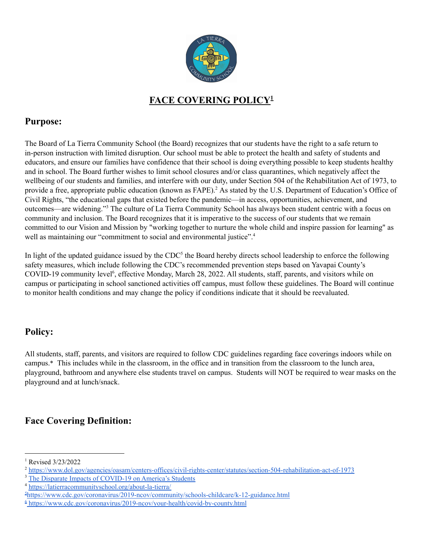

## **FACE COVERING POLICY 1**

#### **Purpose:**

The Board of La Tierra Community School (the Board) recognizes that our students have the right to a safe return to in-person instruction with limited disruption. Our school must be able to protect the health and safety of students and educators, and ensure our families have confidence that their school is doing everything possible to keep students healthy and in school. The Board further wishes to limit school closures and/or class quarantines, which negatively affect the wellbeing of our students and families, and interfere with our duty, under Section 504 of the Rehabilitation Act of 1973, to provide a free, appropriate public education (known as FAPE).<sup>2</sup> As stated by the U.S. Department of Education's Office of Civil Rights, "the educational gaps that existed before the pandemic—in access, opportunities, achievement, and outcomes—are widening."<sup>3</sup> The culture of La Tierra Community School has always been student centric with a focus on community and inclusion. The Board recognizes that it is imperative to the success of our students that we remain committed to our Vision and Mission by "working together to nurture the whole child and inspire passion for learning" as well as maintaining our "commitment to social and environmental justice".<sup>4</sup>

In light of the updated guidance issued by the  $CDC<sup>5</sup>$  the Board hereby directs school leadership to enforce the following safety measures, which include following the CDC's recommended prevention steps based on Yavapai County's COVID-19 community level<sup>6</sup>, effective Monday, March 28, 2022. All students, staff, parents, and visitors while on campus or participating in school sanctioned activities off campus, must follow these guidelines. The Board will continue to monitor health conditions and may change the policy if conditions indicate that it should be reevaluated.

# **Policy:**

All students, staff, parents, and visitors are required to follow CDC guidelines regarding face coverings indoors while on campus.\* This includes while in the classroom, in the office and in transition from the classroom to the lunch area, playground, bathroom and anywhere else students travel on campus. Students will NOT be required to wear masks on the playground and at lunch/snack.

# **Face Covering Definition:**

<sup>&</sup>lt;sup>1</sup> Revised 3/23/2022

<sup>2</sup> <https://www.dol.gov/agencies/oasam/centers-offices/civil-rights-center/statutes/section-504-rehabilitation-act-of-1973>

<sup>&</sup>lt;sup>3</sup> The Disparate Impacts of [COVID-19](https://www2.ed.gov/about/offices/list/ocr/docs/20210608-impacts-of-covid19.pdf#page=11&zoom=auto,-57,760) on America's Students

<sup>4</sup> <https://latierracommunityschool.org/about-la-tierra/>

<sup>5</sup><https://www.cdc.gov/coronavirus/2019-ncov/community/schools-childcare/k-12-guidance.html>

 $6$  <https://www.cdc.gov/coronavirus/2019-ncov/your-health/covid-by-county.html>